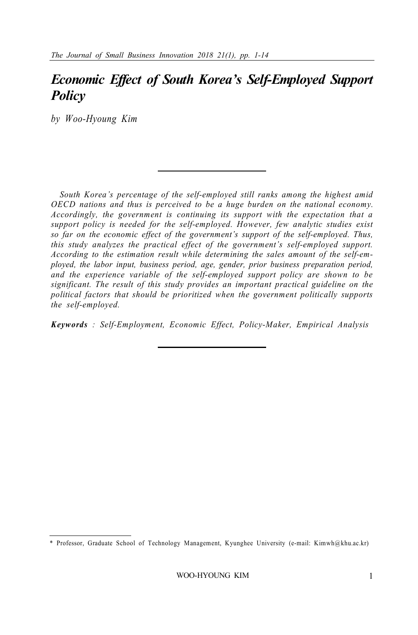## *Economic Effect of South Korea's Self-Employed Support Policy*

*by Woo-Hyoung Kim*

*South Korea's percentage of the self-employed still ranks among the highest amid OECD nations and thus is perceived to be a huge burden on the national economy. Accordingly, the government is continuing its support with the expectation that a support policy is needed for the self-employed. However, few analytic studies exist so far on the economic effect of the government's support of the self-employed. Thus, this study analyzes the practical effect of the government's self-employed support. According to the estimation result while determining the sales amount of the self-employed, the labor input, business period, age, gender, prior business preparation period, and the experience variable of the self-employed support policy are shown to be significant. The result of this study provides an important practical guideline on the political factors that should be prioritized when the government politically supports the self-employed.*

*Keywords : Self-Employment, Economic Effect, Policy-Maker, Empirical Analysis*

<sup>\*</sup> Professor, Graduate School of Technology Management, Kyunghee University (e-mail: Kimwh@khu.ac.kr)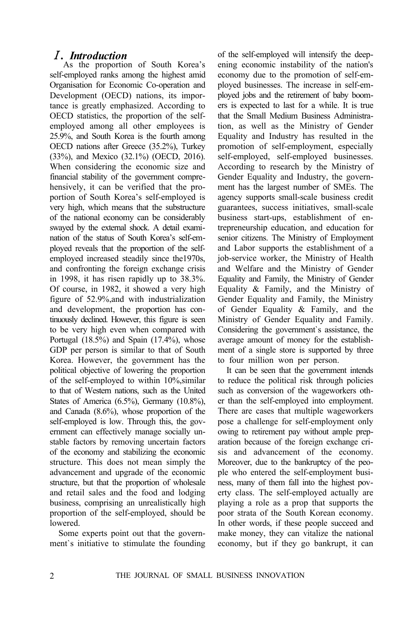#### Ⅰ*. Introduction*

 As the proportion of South Korea's self-employed ranks among the highest amid Organisation for Economic Co-operation and Development (OECD) nations, its importance is greatly emphasized. According to OECD statistics, the proportion of the selfemployed among all other employees is 25.9%, and South Korea is the fourth among OECD nations after Greece (35.2%), Turkey (33%), and Mexico (32.1%) (OECD, 2016). When considering the economic size and financial stability of the government comprehensively, it can be verified that the proportion of South Korea's self-employed is very high, which means that the substructure of the national economy can be considerably swayed by the external shock. A detail examination of the status of South Korea's self-employed reveals that the proportion of the selfemployed increased steadily since the1970s, and confronting the foreign exchange crisis in 1998, it has risen rapidly up to 38.3%. Of course, in 1982, it showed a very high figure of 52.9%,and with industrialization and development, the proportion has continuously declined. However, this figure is seen to be very high even when compared with Portugal (18.5%) and Spain (17.4%), whose GDP per person is similar to that of South Korea. However, the government has the political objective of lowering the proportion of the self-employed to within 10%,similar to that of Western nations, such as the United States of America (6.5%), Germany (10.8%), and Canada (8.6%), whose proportion of the self-employed is low. Through this, the government can effectively manage socially unstable factors by removing uncertain factors of the economy and stabilizing the economic structure. This does not mean simply the advancement and upgrade of the economic structure, but that the proportion of wholesale and retail sales and the food and lodging business, comprising an unrealistically high proportion of the self-employed, should be lowered.

Some experts point out that the government`s initiative to stimulate the founding

of the self-employed will intensify the deepening economic instability of the nation's economy due to the promotion of self-employed businesses. The increase in self-employed jobs and the retirement of baby boomers is expected to last for a while. It is true that the Small Medium Business Administration, as well as the Ministry of Gender Equality and Industry has resulted in the promotion of self-employment, especially self-employed, self-employed businesses. According to research by the Ministry of Gender Equality and Industry, the government has the largest number of SMEs. The agency supports small-scale business credit guarantees, success initiatives, small-scale business start-ups, establishment of entrepreneurship education, and education for senior citizens. The Ministry of Employment and Labor supports the establishment of a job-service worker, the Ministry of Health and Welfare and the Ministry of Gender Equality and Family, the Ministry of Gender Equality & Family, and the Ministry of Gender Equality and Family, the Ministry of Gender Equality & Family, and the Ministry of Gender Equality and Family. Considering the government`s assistance, the average amount of money for the establishment of a single store is supported by three to four million won per person.

It can be seen that the government intends to reduce the political risk through policies such as conversion of the wageworkers other than the self-employed into employment. There are cases that multiple wageworkers pose a challenge for self-employment only owing to retirement pay without ample preparation because of the foreign exchange crisis and advancement of the economy. Moreover, due to the bankruptcy of the people who entered the self-employment business, many of them fall into the highest poverty class. The self-employed actually are playing a role as a prop that supports the poor strata of the South Korean economy. In other words, if these people succeed and make money, they can vitalize the national economy, but if they go bankrupt, it can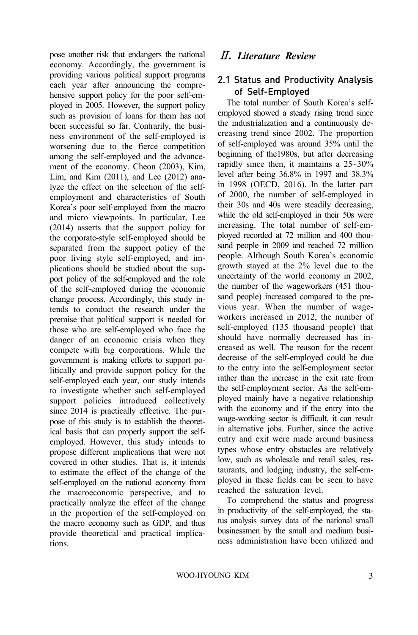pose another risk that endangers the national economy. Accordingly, the government is providing various political support programs each year after announcing the comprehensive support policy for the poor self-employed in 2005. However, the support policy such as provision of loans for them has not been successful so far. Contrarily, the business environment of the self-employed is worsening due to the fierce competition among the self-employed and the advancement of the economy. Cheon (2003), Kim, Lim, and Kim (2011), and Lee (2012) analyze the effect on the selection of the selfemployment and characteristics of South Korea's poor self-employed from the macro and micro viewpoints. In particular, Lee (2014) asserts that the support policy for the corporate-style self-employed should be separated from the support policy of the poor living style self-employed, and implications should be studied about the support policy of the self-employed and the role of the self-employed during the economic change process. Accordingly, this study intends to conduct the research under the premise that political support is needed for those who are self-employed who face the danger of an economic crisis when they compete with big corporations. While the government is making efforts to support politically and provide support policy for the self-employed each year, our study intends to investigate whether such self-employed support policies introduced collectively since 2014 is practically effective. The purpose of this study is to establish the theoretical basis that can properly support the selfemployed. However, this study intends to propose different implications that were not covered in other studies. That is, it intends to estimate the effect of the change of the self-employed on the national economy from the macroeconomic perspective, and to practically analyze the effect of the change in the proportion of the self-employed on the macro economy such as GDP, and thus provide theoretical and practical implications.

## Ⅱ*. Literature Review*

#### 2.1 Status and Productivity Analysis of Self-Employed

The total number of South Korea's selfemployed showed a steady rising trend since the industrialization and a continuously decreasing trend since 2002. The proportion of self-employed was around 35% until the beginning of the1980s, but after decreasing rapidly since then, it maintains a 25~30% level after being 36.8% in 1997 and 38.3% in 1998 (OECD, 2016). In the latter part of 2000, the number of self-employed in their 30s and 40s were steadily decreasing, while the old self-employed in their 50s were increasing. The total number of self-employed recorded at 72 million and 400 thousand people in 2009 and reached 72 million people. Although South Korea's economic growth stayed at the 2% level due to the uncertainty of the world economy in 2002, the number of the wageworkers (451 thousand people) increased compared to the previous year. When the number of wageworkers increased in 2012, the number of self-employed (135 thousand people) that should have normally decreased has increased as well. The reason for the recent decrease of the self-employed could be due to the entry into the self-employment sector rather than the increase in the exit rate from the self-employment sector. As the self-employed mainly have a negative relationship with the economy and if the entry into the wage-working sector is difficult, it can result in alternative jobs. Further, since the active entry and exit were made around business types whose entry obstacles are relatively low, such as wholesale and retail sales, restaurants, and lodging industry, the self-employed in these fields can be seen to have reached the saturation level.

To comprehend the status and progress in productivity of the self-employed, the status analysis survey data of the national small businessmen by the small and medium business administration have been utilized and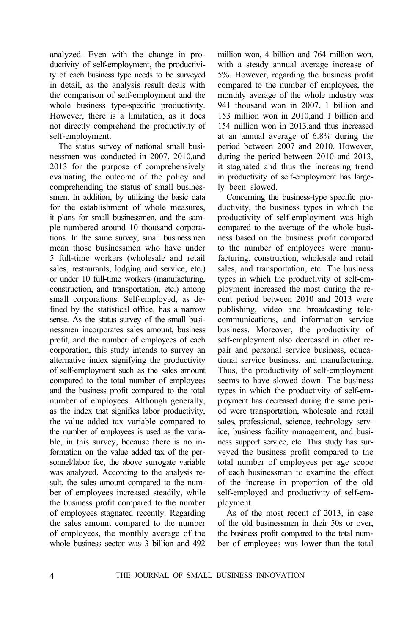analyzed. Even with the change in productivity of self-employment, the productivity of each business type needs to be surveyed in detail, as the analysis result deals with the comparison of self-employment and the whole business type-specific productivity. However, there is a limitation, as it does not directly comprehend the productivity of self-employment.

The status survey of national small businessmen was conducted in 2007, 2010,and 2013 for the purpose of comprehensively evaluating the outcome of the policy and comprehending the status of small businessmen. In addition, by utilizing the basic data for the establishment of whole measures, it plans for small businessmen, and the sample numbered around 10 thousand corporations. In the same survey, small businessmen mean those businessmen who have under 5 full-time workers (wholesale and retail sales, restaurants, lodging and service, etc.) or under 10 full-time workers (manufacturing, construction, and transportation, etc.) among small corporations. Self-employed, as defined by the statistical office, has a narrow sense. As the status survey of the small businessmen incorporates sales amount, business profit, and the number of employees of each corporation, this study intends to survey an alternative index signifying the productivity of self-employment such as the sales amount compared to the total number of employees and the business profit compared to the total number of employees. Although generally, as the index that signifies labor productivity, the value added tax variable compared to the number of employees is used as the variable, in this survey, because there is no information on the value added tax of the personnel/labor fee, the above surrogate variable was analyzed. According to the analysis result, the sales amount compared to the number of employees increased steadily, while the business profit compared to the number of employees stagnated recently. Regarding the sales amount compared to the number of employees, the monthly average of the whole business sector was 3 billion and 492

million won, 4 billion and 764 million won, with a steady annual average increase of 5%. However, regarding the business profit compared to the number of employees, the monthly average of the whole industry was 941 thousand won in 2007, 1 billion and 153 million won in 2010,and 1 billion and 154 million won in 2013,and thus increased at an annual average of 6.8% during the period between 2007 and 2010. However, during the period between 2010 and 2013, it stagnated and thus the increasing trend in productivity of self-employment has largely been slowed.

Concerning the business-type specific productivity, the business types in which the productivity of self-employment was high compared to the average of the whole business based on the business profit compared to the number of employees were manufacturing, construction, wholesale and retail sales, and transportation, etc. The business types in which the productivity of self-employment increased the most during the recent period between 2010 and 2013 were publishing, video and broadcasting telecommunications, and information service business. Moreover, the productivity of self-employment also decreased in other repair and personal service business, educational service business, and manufacturing. Thus, the productivity of self-employment seems to have slowed down. The business types in which the productivity of self-employment has decreased during the same period were transportation, wholesale and retail sales, professional, science, technology service, business facility management, and business support service, etc. This study has surveyed the business profit compared to the total number of employees per age scope of each businessman to examine the effect of the increase in proportion of the old self-employed and productivity of self-employment.

As of the most recent of 2013, in case of the old businessmen in their 50s or over, the business profit compared to the total number of employees was lower than the total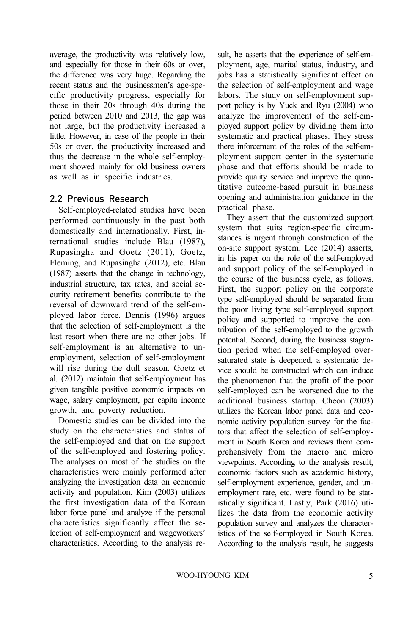average, the productivity was relatively low, and especially for those in their 60s or over, the difference was very huge. Regarding the recent status and the businessmen's age-specific productivity progress, especially for those in their 20s through 40s during the period between 2010 and 2013, the gap was not large, but the productivity increased a little. However, in case of the people in their 50s or over, the productivity increased and thus the decrease in the whole self-employment showed mainly for old business owners as well as in specific industries.

#### 2.2 Previous Research

Self-employed-related studies have been performed continuously in the past both domestically and internationally. First, international studies include Blau (1987), Rupasingha and Goetz (2011), Goetz, Fleming, and Rupasingha (2012), etc. Blau (1987) asserts that the change in technology, industrial structure, tax rates, and social security retirement benefits contribute to the reversal of downward trend of the self-employed labor force. Dennis (1996) argues that the selection of self-employment is the last resort when there are no other jobs. If self-employment is an alternative to unemployment, selection of self-employment will rise during the dull season. Goetz et al. (2012) maintain that self-employment has given tangible positive economic impacts on wage, salary employment, per capita income growth, and poverty reduction.

Domestic studies can be divided into the study on the characteristics and status of the self-employed and that on the support of the self-employed and fostering policy. The analyses on most of the studies on the characteristics were mainly performed after analyzing the investigation data on economic activity and population. Kim (2003) utilizes the first investigation data of the Korean labor force panel and analyze if the personal characteristics significantly affect the selection of self-employment and wageworkers' characteristics. According to the analysis result, he asserts that the experience of self-employment, age, marital status, industry, and jobs has a statistically significant effect on the selection of self-employment and wage labors. The study on self-employment support policy is by Yuck and Ryu (2004) who analyze the improvement of the self-employed support policy by dividing them into systematic and practical phases. They stress there inforcement of the roles of the self-employment support center in the systematic phase and that efforts should be made to provide quality service and improve the quantitative outcome-based pursuit in business opening and administration guidance in the practical phase.

They assert that the customized support system that suits region-specific circumstances is urgent through construction of the on-site support system. Lee (2014) asserts, in his paper on the role of the self-employed and support policy of the self-employed in the course of the business cycle, as follows. First, the support policy on the corporate type self-employed should be separated from the poor living type self-employed support policy and supported to improve the contribution of the self-employed to the growth potential. Second, during the business stagnation period when the self-employed oversaturated state is deepened, a systematic device should be constructed which can induce the phenomenon that the profit of the poor self-employed can be worsened due to the additional business startup. Cheon (2003) utilizes the Korean labor panel data and economic activity population survey for the factors that affect the selection of self-employment in South Korea and reviews them comprehensively from the macro and micro viewpoints. According to the analysis result, economic factors such as academic history, self-employment experience, gender, and unemployment rate, etc. were found to be statistically significant. Lastly, Park (2016) utilizes the data from the economic activity population survey and analyzes the characteristics of the self-employed in South Korea. According to the analysis result, he suggests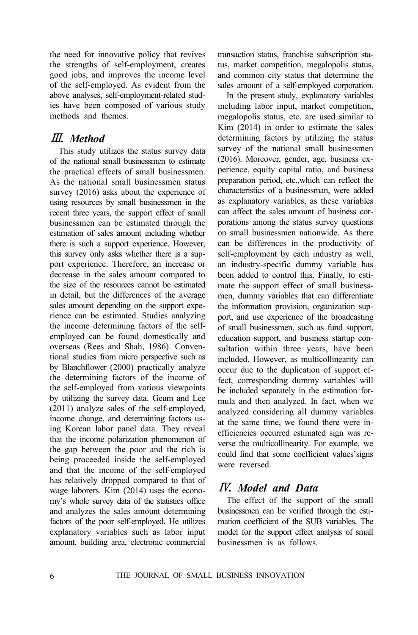the need for innovative policy that revives the strengths of self-employment, creates good jobs, and improves the income level of the self-employed. As evident from the above analyses, self-employment-related studies have been composed of various study methods and themes.

## Ⅲ*. Method*

This study utilizes the status survey data of the national small businessmen to estimate the practical effects of small businessmen. As the national small businessmen status survey (2016) asks about the experience of using resources by small businessmen in the recent three years, the support effect of small businessmen can be estimated through the estimation of sales amount including whether there is such a support experience. However, this survey only asks whether there is a support experience. Therefore, an increase or decrease in the sales amount compared to the size of the resources cannot be estimated in detail, but the differences of the average sales amount depending on the support experience can be estimated. Studies analyzing the income determining factors of the selfemployed can be found domestically and overseas (Rees and Shah, 1986). Conventional studies from micro perspective such as by Blanchflower (2000) practically analyze the determining factors of the income of the self-employed from various viewpoints by utilizing the survey data. Geum and Lee (2011) analyze sales of the self-employed, income change, and determining factors using Korean labor panel data. They reveal that the income polarization phenomenon of the gap between the poor and the rich is being proceeded inside the self-employed and that the income of the self-employed has relatively dropped compared to that of wage laborers. Kim (2014) uses the economy's whole survey data of the statistics office and analyzes the sales amount determining factors of the poor self-employed. He utilizes explanatory variables such as labor input amount, building area, electronic commercial

transaction status, franchise subscription status, market competition, megalopolis status, and common city status that determine the sales amount of a self-employed corporation.

In the present study, explanatory variables including labor input, market competition, megalopolis status, etc. are used similar to Kim (2014) in order to estimate the sales determining factors by utilizing the status survey of the national small businessmen (2016). Moreover, gender, age, business experience, equity capital ratio, and business preparation period, etc.,which can reflect the characteristics of a businessman, were added as explanatory variables, as these variables can affect the sales amount of business corporations among the status survey questions on small businessmen nationwide. As there can be differences in the productivity of self-employment by each industry as well, an industry-specific dummy variable has been added to control this. Finally, to estimate the support effect of small businessmen, dummy variables that can differentiate the information provision, organization support, and use experience of the broadcasting of small businessmen, such as fund support, education support, and business startup consultation within three years, have been included. However, as multicollinearity can occur due to the duplication of support effect, corresponding dummy variables will be included separately in the estimation formula and then analyzed. In fact, when we analyzed considering all dummy variables at the same time, we found there were inefficiencies occurred estimated sign was reverse the multicollinearity. For example, we could find that some coefficient values'signs were reversed.

## Ⅳ*. Model and Data*

The effect of the support of the small businessmen can be verified through the estimation coefficient of the SUB variables. The model for the support effect analysis of small businessmen is as follows.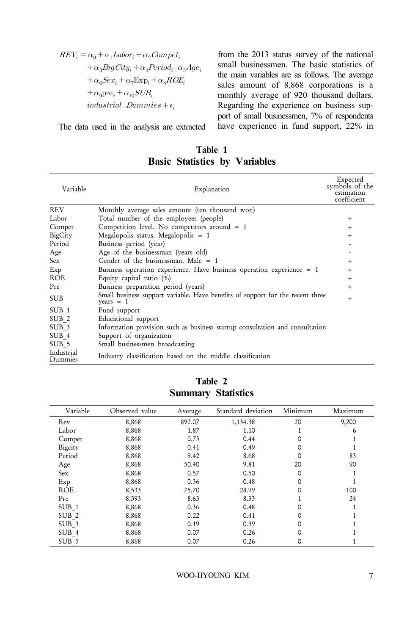$$
\begin{aligned} REV_i&=\alpha_0+\alpha_1 Labor_i+\alpha_2Compet_i\\ &+\alpha_3BigCity_i+\alpha_4Period_i..\alpha_5Age_i\\ &+\alpha_6Sex_i+\alpha_7 Exp_i+\alpha_8ROE_i\\ &+\alpha_9 \text{pre}_i+\alpha_{10} SUB_i\\ &\quad \ \ \, \textit{industrial~Dummies}+\epsilon_i \end{aligned}
$$

The data used in the analysis are extracted

from the 2013 status survey of the national small businessmen. The basic statistics of the main variables are as follows. The average sales amount of 8,868 corporations is a monthly average of 920 thousand dollars. Regarding the experience on business support of small businessmen, 7% of respondents have experience in fund support, 22% in

| Variable              | Explanation                                                                                   | Expected<br>symbols of the<br>estimation<br>coefficient |
|-----------------------|-----------------------------------------------------------------------------------------------|---------------------------------------------------------|
| <b>REV</b>            | Monthly average sales amount (ten thousand won)                                               |                                                         |
| Labor                 | Total number of the employees (people)                                                        | $+$                                                     |
| Compet                | Competition level. No competitors around $= 1$                                                | $^{+}$                                                  |
| BigCity               | Megalopolis status. Megalopolis $= 1$                                                         | $+$                                                     |
| Period                | Business period (year)                                                                        |                                                         |
| Age                   | Age of the businessman (years old)                                                            |                                                         |
| Sex.                  | Gender of the businessman. Male $= 1$                                                         | $+$                                                     |
| Exp                   | Business operation experience. Have business operation experience = 1                         | $+$                                                     |
| ROE                   | Equity capital ratio (%)                                                                      | $+$                                                     |
| Pre                   | Business preparation period (years)                                                           | $+$                                                     |
| <b>SUB</b>            | Small business support variable. Have benefits of support for the recent three<br>years $= 1$ | $+$                                                     |
| SUB 1                 | Fund support                                                                                  |                                                         |
| SUB <sub>2</sub>      | Educational support                                                                           |                                                         |
| SUB <sub>3</sub>      | Information provision such as business startup consultation and consultation                  |                                                         |
| SUB 4                 | Support of organization                                                                       |                                                         |
| SUB <sub>5</sub>      | Small businessmen broadcasting                                                                |                                                         |
| Industrial<br>Dummies | Industry classification based on the middle classification                                    |                                                         |

**Table 1 Basic Statistics by Variables**

| Variable         | Observed value | Average | Standard deviation | Minimum | Maximum |
|------------------|----------------|---------|--------------------|---------|---------|
| Rev              | 8,868          | 892.07  | 1,134.38           | 20      | 9,200   |
| Labor            | 8,868          | 1.87    | 1.10               |         | 6       |
| Compet           | 8,868          | 0.73    | 0.44               |         |         |
| Bigcity          | 8,868          | 0.41    | 0.49               |         |         |
| Period           | 8,868          | 9.42    | 8.68               |         | 83      |
| Age              | 8,868          | 50.40   | 9.81               | 20      | 90      |
| Sex              | 8,868          | 0.57    | 0.50               |         |         |
| Exp              | 8,868          | 0.36    | 0.48               |         |         |
| <b>ROE</b>       | 8,533          | 75.70   | 28.99              |         | 100     |
| Pre              | 8,593          | 8.63    | 8.33               |         | 24      |
| SUB 1            | 8,868          | 0.36    | 0.48               |         |         |
| SUB <sub>2</sub> | 8,868          | 0.22    | 0.41               |         |         |
| SUB <sub>3</sub> | 8,868          | 0.19    | 0.39               |         |         |
| SUB 4            | 8,868          | 0.07    | 0.26               |         |         |
| SUB <sub>5</sub> | 8,868          | 0.07    | 0.26               |         |         |

**Table 2 Summary Statistics**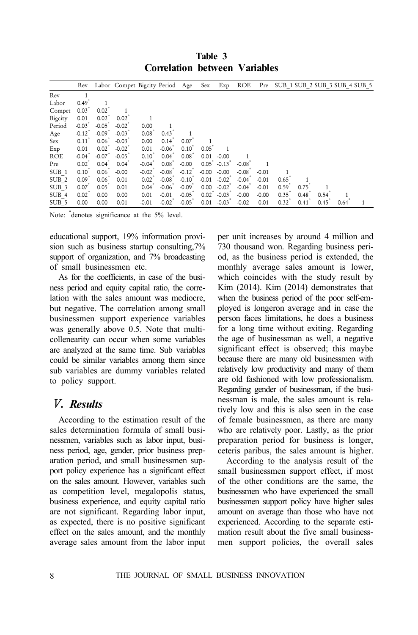|                  | Rev                  |                  | Labor Compet Bigcity Period |          |                  | Age      | Sex                                 | Exp     | ROE     | Pre     |                  |      |      |      | SUB 1 SUB 2 SUB 3 SUB 4 SUB 5 |
|------------------|----------------------|------------------|-----------------------------|----------|------------------|----------|-------------------------------------|---------|---------|---------|------------------|------|------|------|-------------------------------|
| Rev              |                      |                  |                             |          |                  |          |                                     |         |         |         |                  |      |      |      |                               |
| Labor            | 0.49                 |                  |                             |          |                  |          |                                     |         |         |         |                  |      |      |      |                               |
| Compet           | 0.03                 | 0.02             |                             |          |                  |          |                                     |         |         |         |                  |      |      |      |                               |
| Bigcity          | 0.01                 | $0.02^{\degree}$ | $0.02^{\degree}$            |          |                  |          |                                     |         |         |         |                  |      |      |      |                               |
| Period           | $-0.03$              | $-0.05$          | $-0.02$                     | 0.00     |                  |          |                                     |         |         |         |                  |      |      |      |                               |
| Age              | $-0.12$ <sup>*</sup> | $-0.09$          | $-0.03$                     | $0.08*$  | 0.43             |          |                                     |         |         |         |                  |      |      |      |                               |
| Sex              | 0.11                 | $0.06^{\degree}$ | $-0.03$                     | 0.00     | 0.14             | 0.07     |                                     |         |         |         |                  |      |      |      |                               |
| Exp              | 0.01                 | $0.02^{\degree}$ | $-0.02$                     | 0.01     | $-0.06$          | 0.10     | 0.05                                |         |         |         |                  |      |      |      |                               |
| ROE              | $-0.04$              | $-0.07$          | $-0.05$                     | $0.10^*$ | $0.04^{\degree}$ | $0.08^*$ | 0.01                                | $-0.00$ |         |         |                  |      |      |      |                               |
| Pre              | $0.02^{7}$           | $0.04^{\degree}$ | 0.04                        | $-0.04$  | $0.08^{\degree}$ | $-0.00$  | $0.05^{\degree}$ -0.13 $^{\degree}$ |         | $-0.08$ |         |                  |      |      |      |                               |
| SUB <sub>1</sub> | $0.10^{7}$           | $0.06^{\circ}$   | $-0.00$                     | $-0.02$  | $-0.08°$         | $-0.12$  | $-0.00$                             | $-0.00$ | $-0.08$ | $-0.01$ |                  |      |      |      |                               |
| SUB <sub>2</sub> | $0.09*$              | $0.06^{\circ}$   | 0.01                        | $0.02^*$ | $-0.08°$         | $-0.10$  | $-0.01$                             | $-0.02$ | $-0.04$ | $-0.01$ | 0.65             |      |      |      |                               |
| SUB <sub>3</sub> | 0.07                 | 0.05             | 0.01                        | 0.04     | $-0.06$          | $-0.09$  | 0.00                                | $-0.02$ | $-0.04$ | $-0.01$ | 0.59             | 0.75 |      |      |                               |
| SUB 4            | $0.02^*$             | 0.00             | 0.00                        | 0.01     | $-0.01$          | $-0.05$  | $0.02^{\degree}$                    | $-0.03$ | $-0.00$ | $-0.00$ | $0.35^{\degree}$ | 0.48 | 0.54 |      |                               |
| SUB <sub>5</sub> | 0.00                 | 0.00             | 0.01                        | $-0.01$  | $-0.02$          | $-0.05$  | 0.01                                | $-0.03$ | $-0.02$ | 0.01    | $0.32^{7}$       | 0.41 | 0.45 | 0.64 |                               |

**Table 3 Correlation between Variables**

Note: \* denotes significance at the 5% level.

educational support, 19% information provision such as business startup consulting,7% support of organization, and 7% broadcasting of small businessmen etc.

As for the coefficients, in case of the business period and equity capital ratio, the correlation with the sales amount was mediocre, but negative. The correlation among small businessmen support experience variables was generally above 0.5. Note that multicollenearity can occur when some variables are analyzed at the same time. Sub variables could be similar variables among them since sub variables are dummy variables related to policy support.

#### Ⅴ*. Results*

According to the estimation result of the sales determination formula of small businessmen, variables such as labor input, business period, age, gender, prior business preparation period, and small businessmen support policy experience has a significant effect on the sales amount. However, variables such as competition level, megalopolis status, business experience, and equity capital ratio are not significant. Regarding labor input, as expected, there is no positive significant effect on the sales amount, and the monthly average sales amount from the labor input per unit increases by around 4 million and 730 thousand won. Regarding business period, as the business period is extended, the monthly average sales amount is lower, which coincides with the study result by Kim (2014). Kim (2014) demonstrates that when the business period of the poor self-employed is longeron average and in case the person faces limitations, he does a business for a long time without exiting. Regarding the age of businessman as well, a negative significant effect is observed; this maybe because there are many old businessmen with relatively low productivity and many of them are old fashioned with low professionalism. Regarding gender of businessman, if the businessman is male, the sales amount is relatively low and this is also seen in the case of female businessmen, as there are many who are relatively poor. Lastly, as the prior preparation period for business is longer, ceteris paribus, the sales amount is higher.

According to the analysis result of the small businessmen support effect, if most of the other conditions are the same, the businessmen who have experienced the small businessmen support policy have higher sales amount on average than those who have not experienced. According to the separate estimation result about the five small businessmen support policies, the overall sales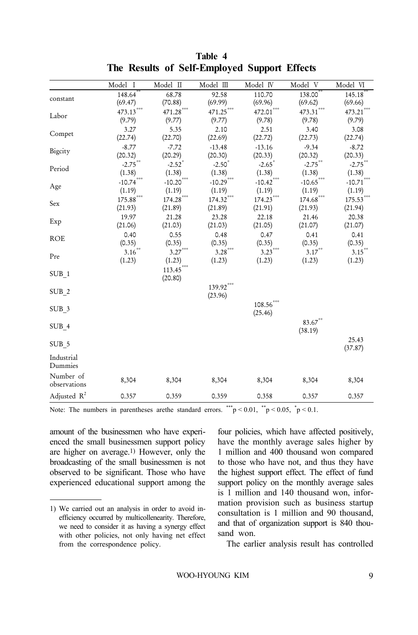|                  | Model I                 | $Model$ $\Pi$        | $Model$ $\Box$ | Model IV                | Model V               | Model VI     |
|------------------|-------------------------|----------------------|----------------|-------------------------|-----------------------|--------------|
| constant         | $148.64^{***}$          | 68.78                | 92.58          | 110.70                  | $138.00***$           | $145.18***$  |
|                  | (69.47)                 | (70.88)              | (69.99)        | (69.96)                 | (69.62)               | (69.66)      |
| Labor            | $473.13***$             | 471.28               | $471.25$ ***   | $472.01$ ***            | $473.31$ ***          | $473.21$ *** |
|                  | (9.79)                  | (9.77)               | (9.77)         | (9.78)                  | (9.78)                | (9.79)       |
| Compet           | 3.27                    | 5.35                 | 2.10           | 2.51                    | 3.40                  | 3.08         |
|                  | (22.74)                 | (22.70)              | (22.69)        | (22.72)                 | (22.73)               | (22.74)      |
| Bigcity          | $-8.77$                 | $-7.72$              | $-13.48$       | $-13.16$                | $-9.34$               | $-8.72$      |
|                  | (20.32)                 | (20.29)              | (20.30)        | (20.33)                 | (20.32)               | (20.33)      |
| Period           | $-2.75$ <sup>**</sup>   | $-2.52$ <sup>*</sup> | $-2.50$        | $-2.65$                 | $-2.75$ <sup>**</sup> | $-2.75***$   |
|                  | (1.38)                  | (1.38)               | (1.38)         | (1.38)                  | (1.38)                | (1.38)       |
|                  | $-10.74$                | $-10.20$ ***         | $-10.29$ ***   | $-10.42$ <sup>***</sup> | $-10.65$              | $-10.71$ *** |
| Age              | (1.19)                  | (1.19)               | (1.19)         | (1.19)                  | (1.19)                | (1.19)       |
|                  | $175.88$ <sup>***</sup> | $174.28$ ***         | 174.32         | 174.23                  | 174.68                | $175.53***$  |
| Sex              | (21.93)                 | (21.89)              | (21.89)        | (21.91)                 | (21.93)               | (21.94)      |
|                  | 19.97                   | 21.28                | 23.28          | 22.18                   | 21.46                 | 20.38        |
| Exp              | (21.06)                 | (21.03)              | (21.03)        | (21.05)                 | (21.07)               | (21.07)      |
|                  | 0.40                    | 0.55                 | 0.48           | 0.47                    | 0.41                  | 0.41         |
| <b>ROE</b>       | (0.35)                  | (0.35)               | (0.35)         | (0.35)                  | (0.35)                | (0.35)       |
|                  | 3.16                    | $3.27***$            | $3.28***$      | ***<br>3.23             | $3.17***$             | $3.15***$    |
| Pre              | (1.23)                  | (1.23)               | (1.23)         | (1.23)                  | (1.23)                | (1.23)       |
|                  |                         | $113.45***$          |                |                         |                       |              |
| SUB <sub>1</sub> |                         | (20.80)              |                |                         |                       |              |
|                  |                         |                      | $139.92***$    |                         |                       |              |
| SUB <sub>2</sub> |                         |                      | (23.96)        |                         |                       |              |
|                  |                         |                      |                | 108.56                  |                       |              |
| SUB <sub>3</sub> |                         |                      |                | (25.46)                 |                       |              |
|                  |                         |                      |                |                         |                       |              |
| SUB 4            |                         |                      |                |                         | $83.67***$            |              |
|                  |                         |                      |                |                         | (38.19)               |              |
| SUB 5            |                         |                      |                |                         |                       | 25.43        |
|                  |                         |                      |                |                         |                       | (37.87)      |
| Industrial       |                         |                      |                |                         |                       |              |
| Dummies          |                         |                      |                |                         |                       |              |
| Number of        | 8,304                   | 8,304                | 8,304          | 8,304                   | 8,304                 | 8,304        |
| observations     |                         |                      |                |                         |                       |              |
| Adjusted $R^2$   | 0.357                   | 0.359                | 0.359          | 0.358                   | 0.357                 | 0.357        |

#### **Table 4 The Results of Self-Employed Support Effects**

Note: The numbers in parentheses are the standard errors. \*\*\*p < 0.01, \*\*p < 0.05, \*p < 0.1.

amount of the businessmen who have experienced the small businessmen support policy are higher on average.1) However, only the broadcasting of the small businessmen is not observed to be significant. Those who have experienced educational support among the four policies, which have affected positively, have the monthly average sales higher by 1 million and 400 thousand won compared to those who have not, and thus they have the highest support effect. The effect of fund support policy on the monthly average sales is 1 million and 140 thousand won, information provision such as business startup consultation is 1 million and 90 thousand, and that of organization support is 840 thousand won.

The earlier analysis result has controlled

<sup>1)</sup> We carried out an analysis in order to avoid inefficiency occurred by multicollenearity. Therefore, we need to consider it as having a synergy effect with other policies, not only having net effect from the correspondence policy.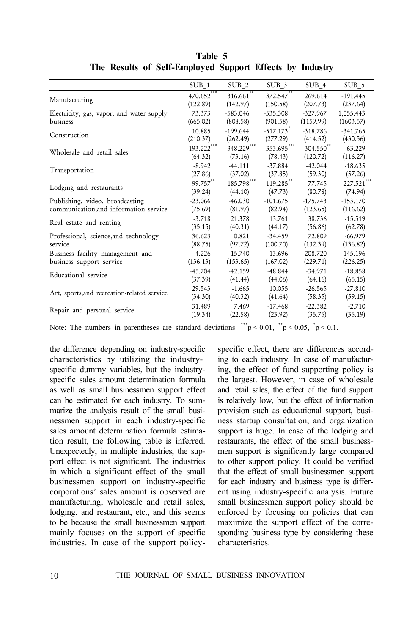| SUB 1     | SUB <sub>2</sub>                    | SUB <sub>3</sub>                                 | SUB 4                                | SUB 5                    |
|-----------|-------------------------------------|--------------------------------------------------|--------------------------------------|--------------------------|
| (122.89)  | (142.97)                            | (150.58)                                         | 269.614                              | $-191.445$<br>(237.64)   |
| 73.373    | $-583.046$                          | $-535.308$                                       | $-327.967$                           | 1,055.443                |
| (665.02)  | (808.58)                            | (901.58)                                         | (1159.99)                            | (1603.57)                |
| 10.885    | -199.644                            | $-517.173$ <sup>*</sup>                          | -318.786                             | $-341.765$               |
| (210.37)  | (262.49)                            | (277.29)                                         | (414.52)                             | (430.56)                 |
| (64.32)   | (73.16)                             | (78.43)                                          | (120.72)                             | 63.229<br>(116.27)       |
| $-8.942$  | $-44.111$                           | $-37.884$                                        | $-42.044$                            | $-18.635$                |
| (27.86)   | (37.02)                             | (37.85)                                          | (59.30)                              | (57.26)                  |
| (39.24)   | (44.10)                             | (47.73)                                          | 77.745<br>(80.78)                    | $227.521$ ***<br>(74.94) |
| $-23.066$ | $-46.030$                           | $-101.675$                                       | $-175.743$                           | $-153.170$               |
| (75.69)   | (81.97)                             | (82.94)                                          | (123.65)                             | (116.62)                 |
| $-3.718$  | 21.378                              | 13.761                                           | 38.736                               | $-15.519$                |
| (35.15)   | (40.31)                             | (44.17)                                          | (56.86)                              | (62.78)                  |
| 36.623    | 0.821                               | $-34.459$                                        | 72.809                               | $-66.979$                |
| (88.75)   | (97.72)                             | (100.70)                                         | (132.39)                             | (136.82)                 |
| 4.226     | $-15.740$                           | $-13.696$                                        | $-208.720$                           | $-145.196$               |
| (136.13)  | (153.65)                            | (167.02)                                         | (229.71)                             | (226.25)                 |
| $-45.704$ | $-42.159$                           | $-48.844$                                        | $-34.971$                            | $-18.858$                |
| (37.39)   | (41.44)                             | (44.06)                                          | (64.16)                              | (65.15)                  |
| 29.543    | $-1.665$                            | 10.055                                           | $-26.565$                            | $-27.810$                |
| (34.30)   | (40.32)                             | (41.64)                                          | (58.35)                              | (59.15)                  |
| 31.489    | 7.469                               | $-17.468$                                        | $-22.382$                            | $-2.710$                 |
| (19.34)   | (22.58)                             | (23.92)                                          | (35.75)                              | (35.19)                  |
|           | 470.652<br>$193.222***$<br>99.757** | $316.661^{***}$<br>$348.229***$<br>$185.798$ *** | 372.547<br>$353.695***$<br>119.285** | (207.73)<br>304.550**    |

**Table 5 The Results of Self-Employed Support Effects by Industry**

Note: The numbers in parentheses are standard deviations. \*\*\*p < 0.01, \*\*p < 0.05, \*p < 0.1.

the difference depending on industry-specific characteristics by utilizing the industryspecific dummy variables, but the industryspecific sales amount determination formula as well as small businessmen support effect can be estimated for each industry. To summarize the analysis result of the small businessmen support in each industry-specific sales amount determination formula estimation result, the following table is inferred. Unexpectedly, in multiple industries, the support effect is not significant. The industries in which a significant effect of the small businessmen support on industry-specific corporations' sales amount is observed are manufacturing, wholesale and retail sales, lodging, and restaurant, etc., and this seems to be because the small businessmen support mainly focuses on the support of specific industries. In case of the support policyspecific effect, there are differences according to each industry. In case of manufacturing, the effect of fund supporting policy is the largest. However, in case of wholesale and retail sales, the effect of the fund support is relatively low, but the effect of information provision such as educational support, business startup consultation, and organization support is huge. In case of the lodging and restaurants, the effect of the small businessmen support is significantly large compared to other support policy. It could be verified that the effect of small businessmen support for each industry and business type is different using industry-specific analysis. Future small businessmen support policy should be enforced by focusing on policies that can maximize the support effect of the corresponding business type by considering these characteristics.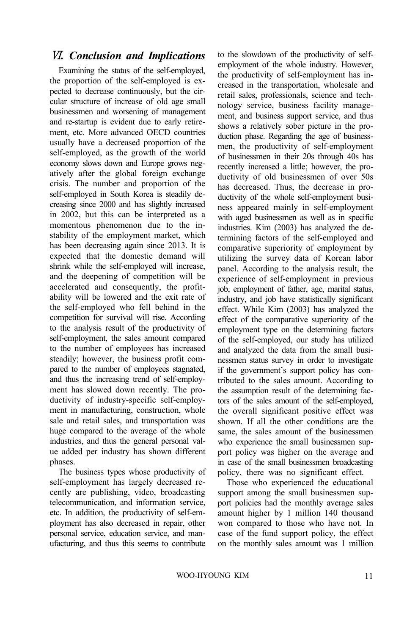### Ⅵ*. Conclusion and Implications*

Examining the status of the self-employed, the proportion of the self-employed is expected to decrease continuously, but the circular structure of increase of old age small businessmen and worsening of management and re-startup is evident due to early retirement, etc. More advanced OECD countries usually have a decreased proportion of the self-employed, as the growth of the world economy slows down and Europe grows negatively after the global foreign exchange crisis. The number and proportion of the self-employed in South Korea is steadily decreasing since 2000 and has slightly increased in 2002, but this can be interpreted as a momentous phenomenon due to the instability of the employment market, which has been decreasing again since 2013. It is expected that the domestic demand will shrink while the self-employed will increase, and the deepening of competition will be accelerated and consequently, the profitability will be lowered and the exit rate of the self-employed who fell behind in the competition for survival will rise. According to the analysis result of the productivity of self-employment, the sales amount compared to the number of employees has increased steadily; however, the business profit compared to the number of employees stagnated, and thus the increasing trend of self-employment has slowed down recently. The productivity of industry-specific self-employment in manufacturing, construction, whole sale and retail sales, and transportation was huge compared to the average of the whole industries, and thus the general personal value added per industry has shown different phases.

The business types whose productivity of self-employment has largely decreased recently are publishing, video, broadcasting telecommunication, and information service, etc. In addition, the productivity of self-employment has also decreased in repair, other personal service, education service, and manufacturing, and thus this seems to contribute

to the slowdown of the productivity of selfemployment of the whole industry. However, the productivity of self-employment has increased in the transportation, wholesale and retail sales, professionals, science and technology service, business facility management, and business support service, and thus shows a relatively sober picture in the production phase. Regarding the age of businessmen, the productivity of self-employment of businessmen in their 20s through 40s has recently increased a little; however, the productivity of old businessmen of over 50s has decreased. Thus, the decrease in productivity of the whole self-employment business appeared mainly in self-employment with aged businessmen as well as in specific industries. Kim (2003) has analyzed the determining factors of the self-employed and comparative superiority of employment by utilizing the survey data of Korean labor panel. According to the analysis result, the experience of self-employment in previous job, employment of father, age, marital status, industry, and job have statistically significant effect. While Kim (2003) has analyzed the effect of the comparative superiority of the employment type on the determining factors of the self-employed, our study has utilized and analyzed the data from the small businessmen status survey in order to investigate if the government's support policy has contributed to the sales amount. According to the assumption result of the determining factors of the sales amount of the self-employed, the overall significant positive effect was shown. If all the other conditions are the same, the sales amount of the businessmen who experience the small businessmen support policy was higher on the average and in case of the small businessmen broadcasting policy, there was no significant effect.

Those who experienced the educational support among the small businessmen support policies had the monthly average sales amount higher by 1 million 140 thousand won compared to those who have not. In case of the fund support policy, the effect on the monthly sales amount was 1 million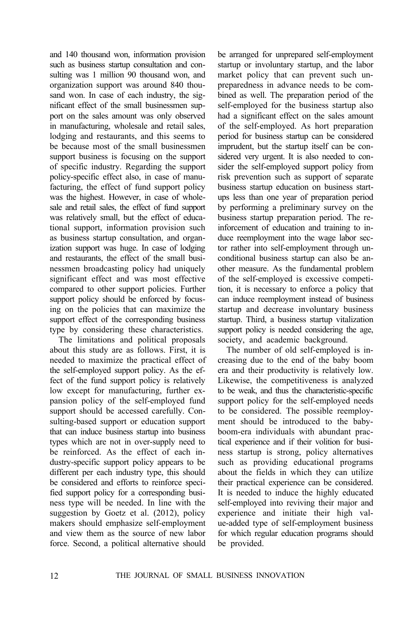and 140 thousand won, information provision such as business startup consultation and consulting was 1 million 90 thousand won, and organization support was around 840 thousand won. In case of each industry, the significant effect of the small businessmen support on the sales amount was only observed in manufacturing, wholesale and retail sales, lodging and restaurants, and this seems to be because most of the small businessmen support business is focusing on the support of specific industry. Regarding the support policy-specific effect also, in case of manufacturing, the effect of fund support policy was the highest. However, in case of wholesale and retail sales, the effect of fund support was relatively small, but the effect of educational support, information provision such as business startup consultation, and organization support was huge. In case of lodging and restaurants, the effect of the small businessmen broadcasting policy had uniquely significant effect and was most effective compared to other support policies. Further support policy should be enforced by focusing on the policies that can maximize the support effect of the corresponding business type by considering these characteristics.

The limitations and political proposals about this study are as follows. First, it is needed to maximize the practical effect of the self-employed support policy. As the effect of the fund support policy is relatively low except for manufacturing, further expansion policy of the self-employed fund support should be accessed carefully. Consulting-based support or education support that can induce business startup into business types which are not in over-supply need to be reinforced. As the effect of each industry-specific support policy appears to be different per each industry type, this should be considered and efforts to reinforce specified support policy for a corresponding business type will be needed. In line with the suggestion by Goetz et al. (2012), policy makers should emphasize self-employment and view them as the source of new labor force. Second, a political alternative should

be arranged for unprepared self-employment startup or involuntary startup, and the labor market policy that can prevent such unpreparedness in advance needs to be combined as well. The preparation period of the self-employed for the business startup also had a significant effect on the sales amount of the self-employed. As hort preparation period for business startup can be considered imprudent, but the startup itself can be considered very urgent. It is also needed to consider the self-employed support policy from risk prevention such as support of separate business startup education on business startups less than one year of preparation period by performing a preliminary survey on the business startup preparation period. The reinforcement of education and training to induce reemployment into the wage labor sector rather into self-employment through unconditional business startup can also be another measure. As the fundamental problem of the self-employed is excessive competition, it is necessary to enforce a policy that can induce reemployment instead of business startup and decrease involuntary business startup. Third, a business startup vitalization support policy is needed considering the age, society, and academic background.

The number of old self-employed is increasing due to the end of the baby boom era and their productivity is relatively low. Likewise, the competitiveness is analyzed to be weak, and thus the characteristic-specific support policy for the self-employed needs to be considered. The possible reemployment should be introduced to the babyboom-era individuals with abundant practical experience and if their volition for business startup is strong, policy alternatives such as providing educational programs about the fields in which they can utilize their practical experience can be considered. It is needed to induce the highly educated self-employed into reviving their major and experience and initiate their high value-added type of self-employment business for which regular education programs should be provided.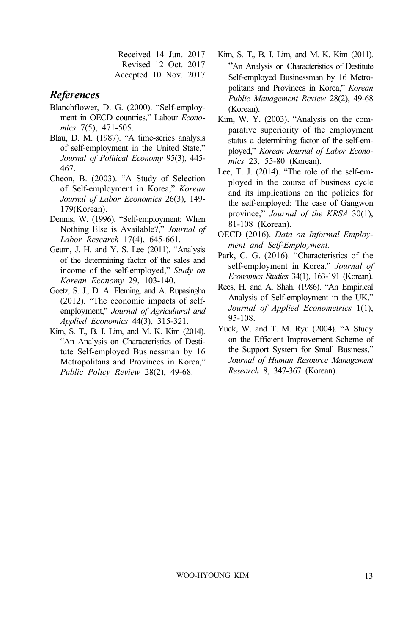Received 14 Jun. 2017 Revised 12 Oct. 2017 Accepted 10 Nov. 2017

#### *References*

- Blanchflower, D. G. (2000). "Self-employment in OECD countries," Labour *Economics* 7(5), 471-505.
- Blau, D. M. (1987). "A time-series analysis of self-employment in the United State," *Journal of Political Economy* 95(3), 445- 467.
- Cheon, B. (2003). "A Study of Selection of Self-employment in Korea," *Korean Journal of Labor Economics* 26(3), 149- 179(Korean).
- Dennis, W. (1996). "Self-employment: When Nothing Else is Available?," *Journal of Labor Research* 17(4), 645-661.
- Geum, J. H. and Y. S. Lee (2011). "Analysis of the determining factor of the sales and income of the self-employed," *Study on Korean Economy* 29, 103-140.
- Goetz, S. J., D. A. Fleming, and A. Rupasingha (2012). "The economic impacts of selfemployment," *Journal of Agricultural and Applied Economics* 44(3), 315-321.
- Kim, S. T., B. I. Lim, and M. K. Kim (2014). "An Analysis on Characteristics of Destitute Self-employed Businessman by 16 Metropolitans and Provinces in Korea," *Public Policy Review* 28(2), 49-68.
- Kim, S. T., B. I. Lim, and M. K. Kim (2011). "An Analysis on Characteristics of Destitute Self-employed Businessman by 16 Metropolitans and Provinces in Korea," *Korean Public Management Review* 28(2), 49-68 (Korean).
- Kim, W. Y. (2003). "Analysis on the comparative superiority of the employment status a determining factor of the self-employed," *Korean Journal of Labor Economics* 23, 55-80 (Korean).
- Lee, T. J. (2014). "The role of the self-employed in the course of business cycle and its implications on the policies for the self-employed: The case of Gangwon province," *Journal of the KRSA* 30(1), 81-108 (Korean).
- OECD (2016). *Data on Informal Employment and Self-Employment.*
- Park, C. G. (2016). "Characteristics of the self-employment in Korea," *Journal of Economics Studies* 34(1), 163-191 (Korean).
- Rees, H. and A. Shah. (1986). "An Empirical Analysis of Self-employment in the UK," *Journal of Applied Econometrics* 1(1), 95-108.
- Yuck, W. and T. M. Ryu (2004). "A Study on the Efficient Improvement Scheme of the Support System for Small Business," *Journal of Human Resource Management Research* 8, 347-367 (Korean).